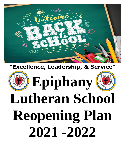

## **"Excellence, Leadership, & Service"**

# **Epiphany Lutheran School Reopening Plan 2021 -2022**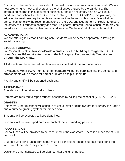Epiphany Lutheran School cares about the health of our students, faculty and staff. We are now preparing to meet and overcome the challenges caused by the pandemic. The information shared in this document outlines our health and safety plan as well as our academic and school life plan. Due to the evolving nature of COVID-19, this plan may be adjusted to meet new requirements as we move into the new school year. We will do our utmost best to follow the recommendations of the CDC and Department of Health to ensure the safety of our students, faculty and staff. Epiphany Lutheran School continues to provide an education of excellence, leadership and service. We have God at the center of it all.

#### **ACADEMIC PLAN**

We are offering In-Person Learning only. Students will be seated separately, allowing for social distancing.

#### **STUDENT ARRIVAL**

In-Person students in **Nursery-Grade 4 must enter the building through the PARLOR door**. **Grades 5-8 must enter through the MAIN gate. Faculty and staff must enter through the MAIN gate**.

All students will be screened and temperature checked at the entrance doors.

Any student with a 100.0 F or higher temperature will not be permitted into the school and arrangements will be made for parent or guardian to pick them up.

Faculty and staff will be screened each day.

#### **ATTENDANCE**

Attendance will be taken for all students.

Parents are required to report student absences by calling the school at (718) 773 - 7200.

#### **GRADING**

Epiphany Lutheran school will continue to use a letter grading system for Nursery to Grade 4 and a numeric grading system for Grades 5 to 8.

Students will be expected to keep deadlines.

Students will receive report cards for each of the four marking periods.

#### **FOOD SERVICE**

School lunch will be provided to be consumed in the classroom. There is a lunch fee of \$50 per month.

Students who bring lunch from home must be consistent. Those students must bring their lunch with them when they come to school.

Desks and other surfaces will be cleaned after the lunch period.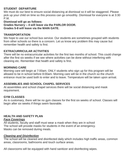#### **STUDENT DEPARTURE**

We must do our best to ensure social distancing at dismissal so it will be staggered. Please pick up your child on time so this process can go smoothly. Dismissal for everyone is at 3:30 P.M.

**Dismissal will go as follows: Grades Nursery – 4 will leave via the PARLOR DOOR. Grades 5-8 will leave via the MAIN GATE.**

#### **TRANSPORTATION**

We hope to use our school bus service. Our students are sometimes grouped with students from other schools so there is a concern. Let us know any problem this may cause but remember health and safety is first.

#### **EXTRACURRICULAR ACTIVITIES**

There will be no extracurricular activities for the first two months of school. This could change after the first six weeks if we see where activities can be done without interfering with cleaning etc. Remember that health and safety is first.

#### **MORNING CARE**

Morning care will begin at 7:00am. ONLY students who sign up for this program will be allowed to be in school before 8:00am. Morning care will be in the church so the church entrance must be used both to enter and to leave. Temperature will be taken upon arrival.

#### **ASSEMBLIES AND SCHOOL CHAPEL SERVICES**

At assemblies and school chapel services there will be social distancing and mask requirement.

#### **GYM CLASSES**

As is customary, there will be no gym classes for the first six weeks of school. Classes will begin after six weeks if things seem favorable.

### **HEALTH AND SAFETY PLAN**

#### *Face Coverings*

All students, faculty and staff must wear a mask when they are in school The school will provide masks for students in the event of an emergency. Masks can be removed during meals.

#### *Cleaning and Disinfection*

The school will be cleaned and disinfected daily which includes high traffic areas, common areas, classrooms, bathrooms and touch surface areas.

All classrooms will be equipped with hand sanitizer and disinfecting wipes.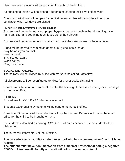Hand sanitizing stations will be provided throughout the building.

All drinking fountains will be closed. Students must bring their own bottled water.

Classroom windows will be open for ventilation and a plan will be in place to ensure ventilation when windows are closed.

#### **HYGIENIC PRACTICES AND TRAINING**

Students will be reminded about proper hygienic practices such as hand washing, using hand sanitizer and coughing techniques using their elbows.

Students will be reminded not to come to school if they are not well or have a fever.

Signs will be posted to remind students of all guidelines such as; Stay home if you are sick Wear a mask Stay six feet apart Wash hands Cough etiquette

#### **SOCIAL DISTANCING**

The hallway will be divided by a line with markers indicating traffic flow.

All classrooms will be reconfigured to allow for proper social distancing.

Parents must have an appointment to enter the building. If there is an emergency please go to the main office.

#### **ILLNESS**

Procedures for COVID - 19 infections in school

Students experiencing symptoms will be sent to the nurse's office.

Parents or Guardians will be notified to pick up the student. Parents will wait in the main office for the child to be brought to them.

If a student is identified as having COVID - 19, all areas occupied by the student will be disinfected.

The nurse will inform NYS of the infection.

#### **The procedure to re- admit a student to school who has recovered from Covid 19 is as follows:**

**The student must have documentation from a medical professional noting a negative COVID - 19 test result. Faculty and staff will follow the same protocol.**